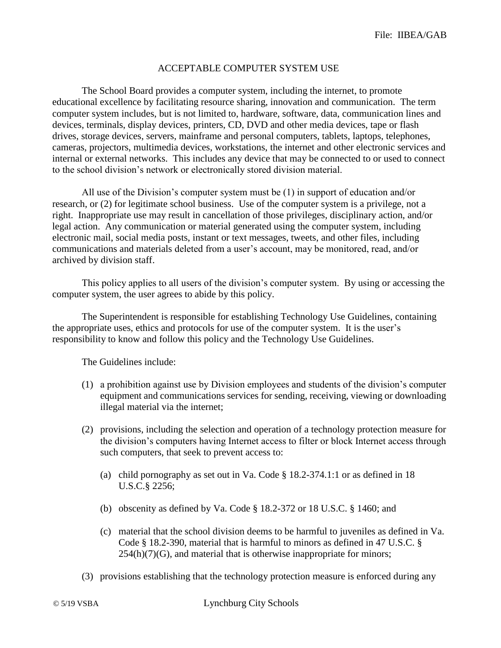## ACCEPTABLE COMPUTER SYSTEM USE

The School Board provides a computer system, including the internet, to promote educational excellence by facilitating resource sharing, innovation and communication. The term computer system includes, but is not limited to, hardware, software, data, communication lines and devices, terminals, display devices, printers, CD, DVD and other media devices, tape or flash drives, storage devices, servers, mainframe and personal computers, tablets, laptops, telephones, cameras, projectors, multimedia devices, workstations, the internet and other electronic services and internal or external networks. This includes any device that may be connected to or used to connect to the school division's network or electronically stored division material.

All use of the Division's computer system must be (1) in support of education and/or research, or (2) for legitimate school business. Use of the computer system is a privilege, not a right. Inappropriate use may result in cancellation of those privileges, disciplinary action, and/or legal action. Any communication or material generated using the computer system, including electronic mail, social media posts, instant or text messages, tweets, and other files, including communications and materials deleted from a user's account, may be monitored, read, and/or archived by division staff.

This policy applies to all users of the division's computer system. By using or accessing the computer system, the user agrees to abide by this policy.

The Superintendent is responsible for establishing Technology Use Guidelines, containing the appropriate uses, ethics and protocols for use of the computer system. It is the user's responsibility to know and follow this policy and the Technology Use Guidelines.

The Guidelines include:

- (1) a prohibition against use by Division employees and students of the division's computer equipment and communications services for sending, receiving, viewing or downloading illegal material via the internet;
- (2) provisions, including the selection and operation of a technology protection measure for the division's computers having Internet access to filter or block Internet access through such computers, that seek to prevent access to:
	- (a) child pornography as set out in Va. Code § 18.2-374.1:1 or as defined in 18 U.S.C.§ 2256;
	- (b) obscenity as defined by Va. Code § 18.2-372 or 18 U.S.C. § 1460; and
	- (c) material that the school division deems to be harmful to juveniles as defined in Va. Code § 18.2-390, material that is harmful to minors as defined in 47 U.S.C. §  $254(h)(7)(G)$ , and material that is otherwise inappropriate for minors;
- (3) provisions establishing that the technology protection measure is enforced during any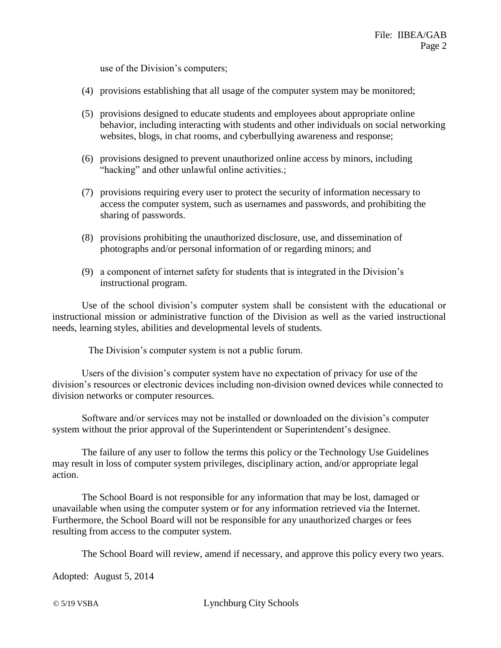use of the Division's computers;

- (4) provisions establishing that all usage of the computer system may be monitored;
- (5) provisions designed to educate students and employees about appropriate online behavior, including interacting with students and other individuals on social networking websites, blogs, in chat rooms, and cyberbullying awareness and response;
- (6) provisions designed to prevent unauthorized online access by minors, including "hacking" and other unlawful online activities.;
- (7) provisions requiring every user to protect the security of information necessary to access the computer system, such as usernames and passwords, and prohibiting the sharing of passwords.
- (8) provisions prohibiting the unauthorized disclosure, use, and dissemination of photographs and/or personal information of or regarding minors; and
- (9) a component of internet safety for students that is integrated in the Division's instructional program.

Use of the school division's computer system shall be consistent with the educational or instructional mission or administrative function of the Division as well as the varied instructional needs, learning styles, abilities and developmental levels of students.

The Division's computer system is not a public forum.

Users of the division's computer system have no expectation of privacy for use of the division's resources or electronic devices including non-division owned devices while connected to division networks or computer resources.

Software and/or services may not be installed or downloaded on the division's computer system without the prior approval of the Superintendent or Superintendent's designee.

The failure of any user to follow the terms this policy or the Technology Use Guidelines may result in loss of computer system privileges, disciplinary action, and/or appropriate legal action.

The School Board is not responsible for any information that may be lost, damaged or unavailable when using the computer system or for any information retrieved via the Internet. Furthermore, the School Board will not be responsible for any unauthorized charges or fees resulting from access to the computer system.

The School Board will review, amend if necessary, and approve this policy every two years.

Adopted: August 5, 2014